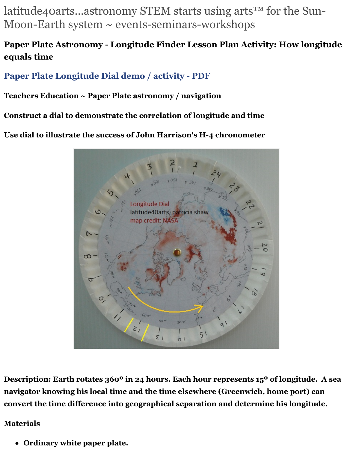latitude40arts...astronomy STEM starts using arts<sup>™</sup> for the Sun-Moon-Earth system  $\sim$  events-seminars-workshops

# **Paper Plate Astronomy - Longitude Finder Lesson Plan Activity: How longitude equals time**

# **[Paper Plate Longitude Dial demo / activity - PDF](http://latitude40arts.com/paper_plate_longitude_dial)**

#### **Teachers Education ~ Paper Plate astronomy / navigation**

**Construct a dial to demonstrate the correlation of longitude and time**

**Use dial to illustrate the success of John Harrison's H-4 chronometer**



**Description: Earth rotates 360º in 24 hours. Each hour represents 15º of longitude. A sea navigator knowing his local time and the time elsewhere (Greenwich, home port) can convert the time difference into geographical separation and determine his longitude.** 

#### **Materials**

**Ordinary white paper plate.**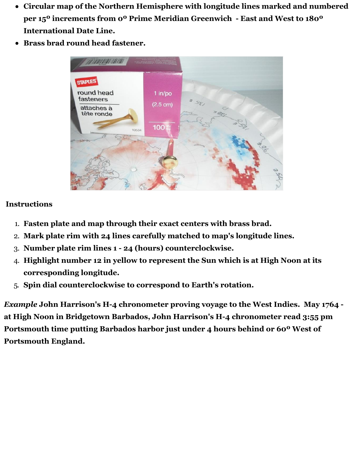- **Circular map of the Northern Hemisphere with longitude lines marked and numbered per 15º increments from 0º Prime Meridian Greenwich - East and West to 180º International Date Line.**
- **Brass brad round head fastener.**



#### **Instructions**

- 1. **Fasten plate and map through their exact centers with brass brad.**
- 2. **Mark plate rim with 24 lines carefully matched to map's longitude lines.**
- 3. **Number plate rim lines 1 24 (hours) counterclockwise.**
- 4. **Highlight number 12 in yellow to represent the Sun which is at High Noon at its corresponding longitude.**
- 5. **Spin dial counterclockwise to correspond to Earth's rotation.**

*Example* **John Harrison's H-4 chronometer proving voyage to the West Indies. May 1764 at High Noon in Bridgetown Barbados, John Harrison's H-4 chronometer read 3:55 pm Portsmouth time putting Barbados harbor just under 4 hours behind or 60º West of Portsmouth England.**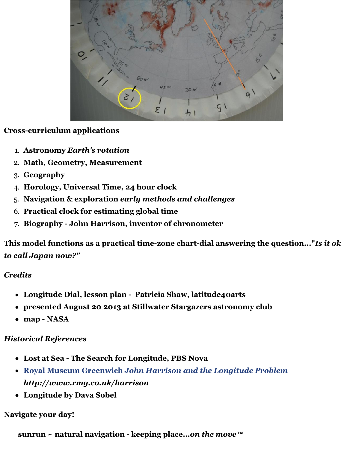

# **Cross-curriculum applications**

- 1. **Astronomy** *Earth's rotation*
- 2. **Math, Geometry, Measurement**
- 3. **Geography**
- 4. **Horology, Universal Time, 24 hour clock**
- 5. **Navigation & exploration** *early methods and challenges*
- 6. **Practical clock for estimating global time**
- 7. **Biography John Harrison, inventor of chronometer**

**This model functions as a practical time-zone chart-dial answering the question..."***Is it ok to call Japan now?"* 

# *Credits*

- **Longitude Dial, lesson plan Patricia Shaw, latitude40arts**
- **presented August 20 2013 at Stillwater Stargazers astronomy club**
- **map NASA**

# *Historical References*

- **Lost at Sea The Search for Longitude, PBS Nova**
- **[Royal Museum Greenwich](http://www.rmg.co.uk/harrison)** *[John Harrison and the Longitude Problem](http://www.rmg.co.uk/harrison) http://www.rmg.co.uk/harrison*
- **Longitude by Dava Sobel**

# **Navigate your day!**

**sunrun ~ natural navigation - keeping place...***on the move™*